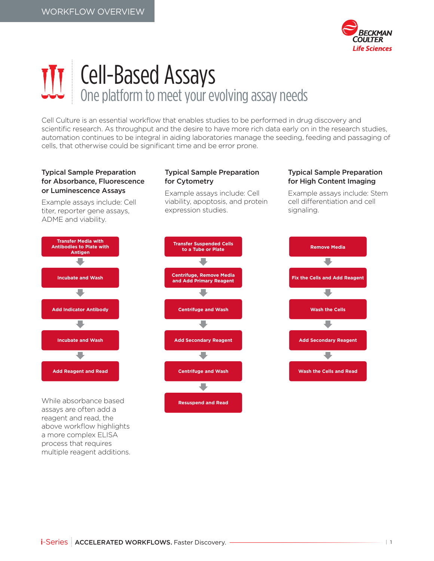

# Cell-Based Assays One platform to meet your evolving assay needs

Cell Culture is an essential workflow that enables studies to be performed in drug discovery and scientific research. As throughput and the desire to have more rich data early on in the research studies, automation continues to be integral in aiding laboratories manage the seeding, feeding and passaging of cells, that otherwise could be significant time and be error prone.

## Typical Sample Preparation for Absorbance, Fluorescence or Luminescence Assays

Example assays include: Cell titer, reporter gene assays, ADME and viability.

#### Typical Sample Preparation for Cytometry

Example assays include: Cell viability, apoptosis, and protein expression studies.

## Typical Sample Preparation for High Content Imaging

Example assays include: Stem cell differentiation and cell signaling.



While absorbance based assays are often add a reagent and read, the above workflow highlights a more complex ELISA process that requires multiple reagent additions.